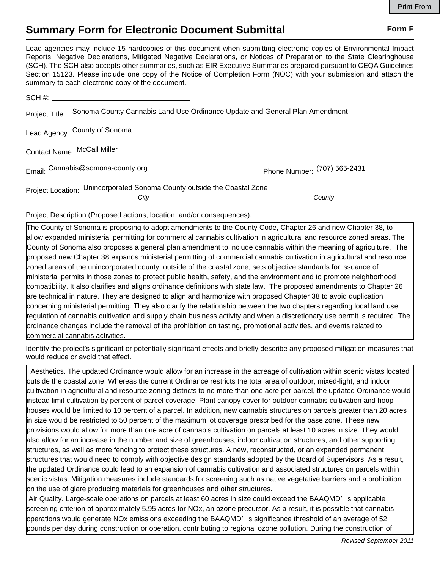## **Summary Form for Electronic Document Submittal Form F Form F**

Lead agencies may include 15 hardcopies of this document when submitting electronic copies of Environmental Impact Reports, Negative Declarations, Mitigated Negative Declarations, or Notices of Preparation to the State Clearinghouse (SCH). The SCH also accepts other summaries, such as EIR Executive Summaries prepared pursuant to CEQA Guidelines Section 15123. Please include one copy of the Notice of Completion Form (NOC) with your submission and attach the summary to each electronic copy of the document.

| SCH #: _____________                                                    |                                                                             |                              |
|-------------------------------------------------------------------------|-----------------------------------------------------------------------------|------------------------------|
| Project Title:                                                          | Sonoma County Cannabis Land Use Ordinance Update and General Plan Amendment |                              |
|                                                                         | Lead Agency: County of Sonoma                                               |                              |
| Contact Name: McCall Miller                                             |                                                                             |                              |
|                                                                         | Email: Cannabis@somona-county.org                                           | Phone Number: (707) 565-2431 |
| Project Location: Unincorporated Sonoma County outside the Coastal Zone |                                                                             |                              |
|                                                                         | City                                                                        | County                       |

Project Description (Proposed actions, location, and/or consequences).

The County of Sonoma is proposing to adopt amendments to the County Code, Chapter 26 and new Chapter 38, to allow expanded ministerial permitting for commercial cannabis cultivation in agricultural and resource zoned areas. The County of Sonoma also proposes a general plan amendment to include cannabis within the meaning of agriculture. The proposed new Chapter 38 expands ministerial permitting of commercial cannabis cultivation in agricultural and resource zoned areas of the unincorporated county, outside of the coastal zone, sets objective standards for issuance of ministerial permits in those zones to protect public health, safety, and the environment and to promote neighborhood compatibility. It also clarifies and aligns ordinance definitions with state law. The proposed amendments to Chapter 26 are technical in nature. They are designed to align and harmonize with proposed Chapter 38 to avoid duplication concerning ministerial permitting. They also clarify the relationship between the two chapters regarding local land use regulation of cannabis cultivation and supply chain business activity and when a discretionary use permit is required. The ordinance changes include the removal of the prohibition on tasting, promotional activities, and events related to commercial cannabis activities.

Identify the project's significant or potentially significant effects and briefly describe any proposed mitigation measures that would reduce or avoid that effect.

 Aesthetics. The updated Ordinance would allow for an increase in the acreage of cultivation within scenic vistas located outside the coastal zone. Whereas the current Ordinance restricts the total area of outdoor, mixed-light, and indoor cultivation in agricultural and resource zoning districts to no more than one acre per parcel, the updated Ordinance would instead limit cultivation by percent of parcel coverage. Plant canopy cover for outdoor cannabis cultivation and hoop houses would be limited to 10 percent of a parcel. In addition, new cannabis structures on parcels greater than 20 acres in size would be restricted to 50 percent of the maximum lot coverage prescribed for the base zone. These new provisions would allow for more than one acre of cannabis cultivation on parcels at least 10 acres in size. They would also allow for an increase in the number and size of greenhouses, indoor cultivation structures, and other supporting structures, as well as more fencing to protect these structures. A new, reconstructed, or an expanded permanent structures that would need to comply with objective design standards adopted by the Board of Supervisors. As a result, the updated Ordinance could lead to an expansion of cannabis cultivation and associated structures on parcels within scenic vistas. Mitigation measures include standards for screening such as native vegetative barriers and a prohibition on the use of glare producing materials for greenhouses and other structures.

 Air Quality. Large-scale operations on parcels at least 60 acres in size could exceed the BAAQMD's applicable screening criterion of approximately 5.95 acres for NOx, an ozone precursor. As a result, it is possible that cannabis operations would generate NOx emissions exceeding the BAAQMD's significance threshold of an average of 52 pounds per day during construction or operation, contributing to regional ozone pollution. During the construction of